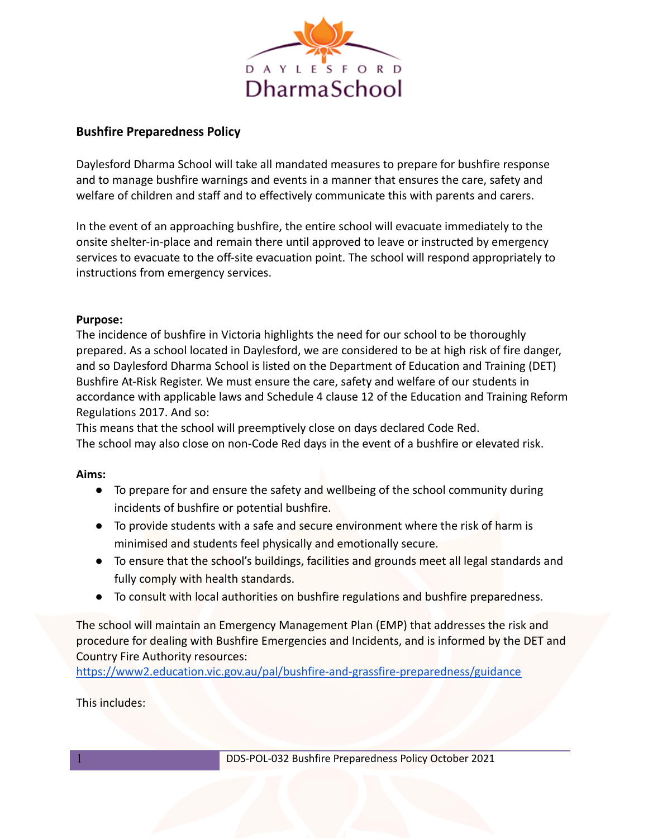

# **Bushfire Preparedness Policy**

Daylesford Dharma School will take all mandated measures to prepare for bushfire response and to manage bushfire warnings and events in a manner that ensures the care, safety and welfare of children and staff and to effectively communicate this with parents and carers.

In the event of an approaching bushfire, the entire school will evacuate immediately to the onsite shelter-in-place and remain there until approved to leave or instructed by emergency services to evacuate to the off-site evacuation point. The school will respond appropriately to instructions from emergency services.

## **Purpose:**

The incidence of bushfire in Victoria highlights the need for our school to be thoroughly prepared. As a school located in Daylesford, we are considered to be at high risk of fire danger, and so Daylesford Dharma School is listed on the Department of Education and Training (DET) Bushfire At-Risk Register. We must ensure the care, safety and welfare of our students in accordance with applicable laws and Schedule 4 clause 12 of the Education and Training Reform Regulations 2017. And so:

This means that the school will preemptively close on days declared Code Red. The school may also close on non-Code Red days in the event of a bushfire or elevated risk.

## **Aims:**

- To prepare for and ensure the safety and wellbeing of the school community during incidents of bushfire or potential bushfire.
- To provide students with a safe and secure environment where the risk of harm is minimised and students feel physically and emotionally secure.
- To ensure that the school's buildings, facilities and grounds meet all legal standards and fully comply with health standards.
- To consult with local authorities on bushfire regulations and bushfire preparedness.

The school will maintain an Emergency Management Plan (EMP) that addresses the risk and procedure for dealing with Bushfire Emergencies and Incidents, and is informed by the DET and Country Fire Authority resources:

<https://www2.education.vic.gov.au/pal/bushfire-and-grassfire-preparedness/guidance>

This includes: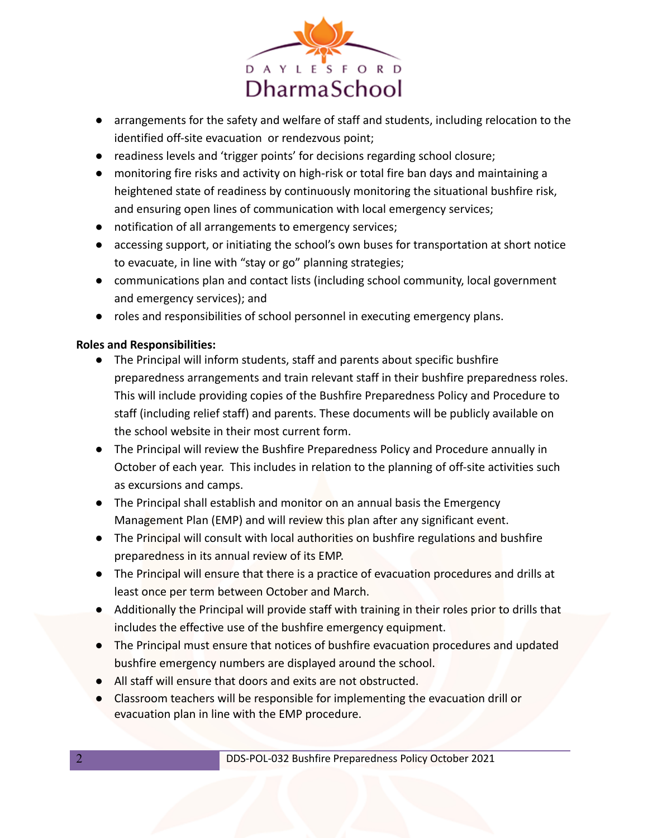

- arrangements for the safety and welfare of staff and students, including relocation to the identified off-site evacuation or rendezvous point;
- readiness levels and 'trigger points' for decisions regarding school closure;
- monitoring fire risks and activity on high-risk or total fire ban days and maintaining a heightened state of readiness by continuously monitoring the situational bushfire risk, and ensuring open lines of communication with local emergency services;
- notification of all arrangements to emergency services;
- accessing support, or initiating the school's own buses for transportation at short notice to evacuate, in line with "stay or go" planning strategies;
- communications plan and contact lists (including school community, local government and emergency services); and
- roles and responsibilities of school personnel in executing emergency plans.

## **Roles and Responsibilities:**

- The Principal will inform students, staff and parents about specific bushfire preparedness arrangements and train relevant staff in their bushfire preparedness roles. This will include providing copies of the Bushfire Preparedness Policy and Procedure to staff (including relief staff) and parents. These documents will be publicly available on the school website in their most current form.
- The Principal will review the Bushfire Preparedness Policy and Procedure annually in October of each year. This includes in relation to the planning of off-site activities such as excursions and camps.
- The Principal shall establish and monitor on an annual basis the Emergency Management Plan (EMP) and will review this plan after any significant event.
- The Principal will consult with local authorities on bushfire regulations and bushfire preparedness in its annual review of its EMP.
- The Principal will ensure that there is a practice of evacuation procedures and drills at least once per term between October and March.
- Additionally the Principal will provide staff with training in their roles prior to drills that includes the effective use of the bushfire emergency equipment.
- The Principal must ensure that notices of bushfire evacuation procedures and updated bushfire emergency numbers are displayed around the school.
- All staff will ensure that doors and exits are not obstructed.
- Classroom teachers will be responsible for implementing the evacuation drill or evacuation plan in line with the EMP procedure.